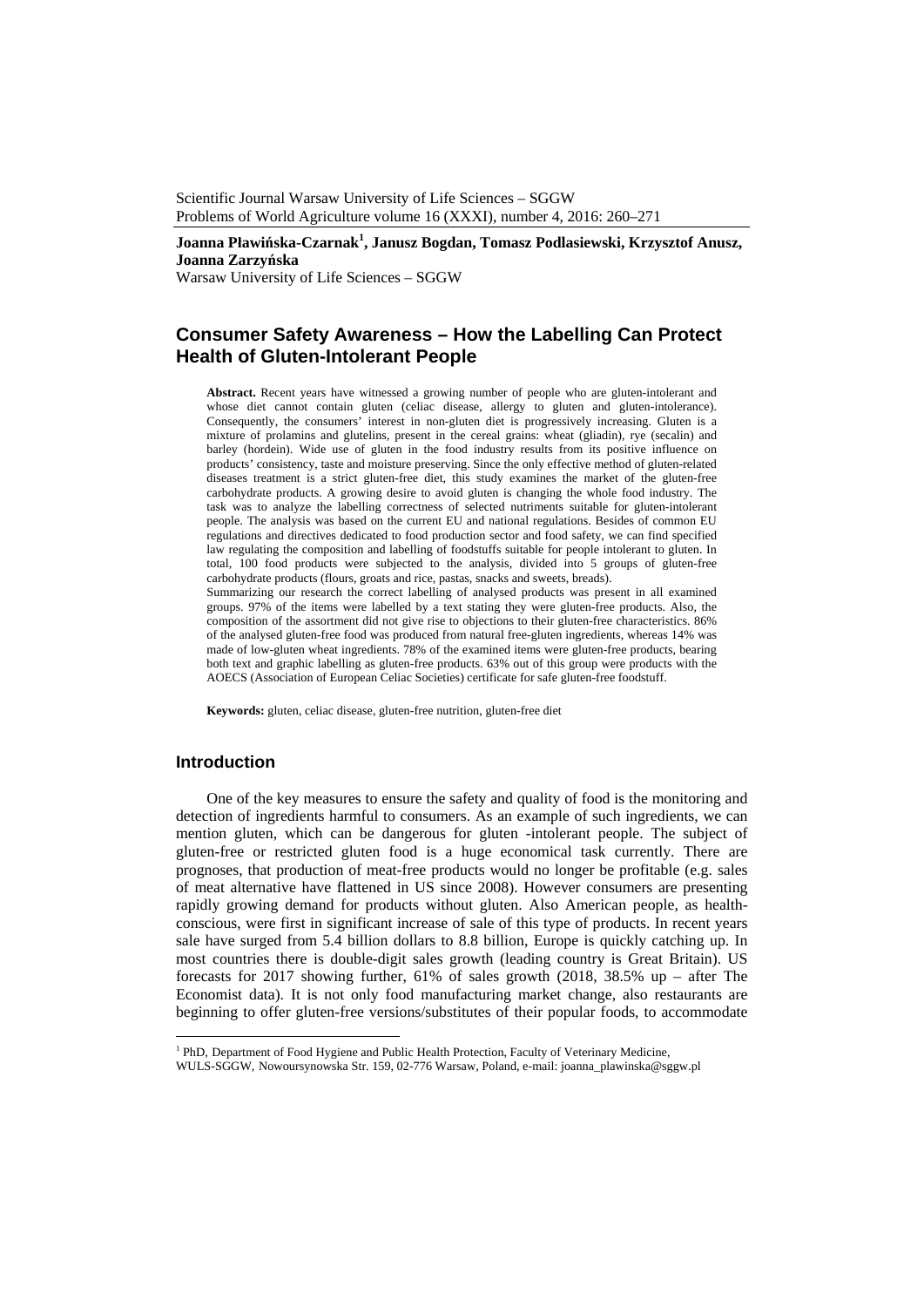Scientific Journal Warsaw University of Life Sciences – SGGW Problems of World Agriculture volume 16 (XXXI), number 4, 2016: 260–271

## **Joanna Pławińska-Czarnak1 , Janusz Bogdan, Tomasz Podlasiewski, Krzysztof Anusz, Joanna Zarzyńska**

Warsaw University of Life Sciences – SGGW

# **Consumer Safety Awareness – How the Labelling Can Protect Health of Gluten-Intolerant People**

**Abstract.** Recent years have witnessed a growing number of people who are gluten-intolerant and whose diet cannot contain gluten (celiac disease, allergy to gluten and gluten-intolerance). Consequently, the consumers' interest in non-gluten diet is progressively increasing. Gluten is a mixture of prolamins and glutelins, present in the cereal grains: wheat (gliadin), rye (secalin) and barley (hordein). Wide use of gluten in the food industry results from its positive influence on products' consistency, taste and moisture preserving. Since the only effective method of gluten-related diseases treatment is a strict gluten-free diet, this study examines the market of the gluten-free carbohydrate products. A growing desire to avoid gluten is changing the whole food industry. The task was to analyze the labelling correctness of selected nutriments suitable for gluten-intolerant people. The analysis was based on the current EU and national regulations. Besides of common EU regulations and directives dedicated to food production sector and food safety, we can find specified law regulating the composition and labelling of foodstuffs suitable for people intolerant to gluten. In total, 100 food products were subjected to the analysis, divided into 5 groups of gluten-free carbohydrate products (flours, groats and rice, pastas, snacks and sweets, breads).

Summarizing our research the correct labelling of analysed products was present in all examined groups. 97% of the items were labelled by a text stating they were gluten-free products. Also, the composition of the assortment did not give rise to objections to their gluten-free characteristics. 86% of the analysed gluten-free food was produced from natural free-gluten ingredients, whereas 14% was made of low-gluten wheat ingredients. 78% of the examined items were gluten-free products, bearing both text and graphic labelling as gluten-free products. 63% out of this group were products with the AOECS (Association of European Celiac Societies) certificate for safe gluten-free foodstuff.

**Keywords:** gluten, celiac disease, gluten-free nutrition, gluten-free diet

### **Introduction**

 $\overline{a}$ 

One of the key measures to ensure the safety and quality of food is the monitoring and detection of ingredients harmful to consumers. As an example of such ingredients, we can mention gluten, which can be dangerous for gluten -intolerant people. The subject of gluten-free or restricted gluten food is a huge economical task currently. There are prognoses, that production of meat-free products would no longer be profitable (e.g. sales of meat alternative have flattened in US since 2008). However consumers are presenting rapidly growing demand for products without gluten. Also American people, as healthconscious, were first in significant increase of sale of this type of products. In recent years sale have surged from 5.4 billion dollars to 8.8 billion, Europe is quickly catching up. In most countries there is double-digit sales growth (leading country is Great Britain). US forecasts for 2017 showing further, 61% of sales growth (2018, 38.5% up – after The Economist data). It is not only food manufacturing market change, also restaurants are beginning to offer gluten-free versions/substitutes of their popular foods, to accommodate

<sup>&</sup>lt;sup>1</sup> PhD, Department of Food Hygiene and Public Health Protection, Faculty of Veterinary Medicine,

WULS-SGGW, Nowoursynowska Str. 159, 02-776 Warsaw, Poland, e-mail: joanna\_plawinska@sggw.pl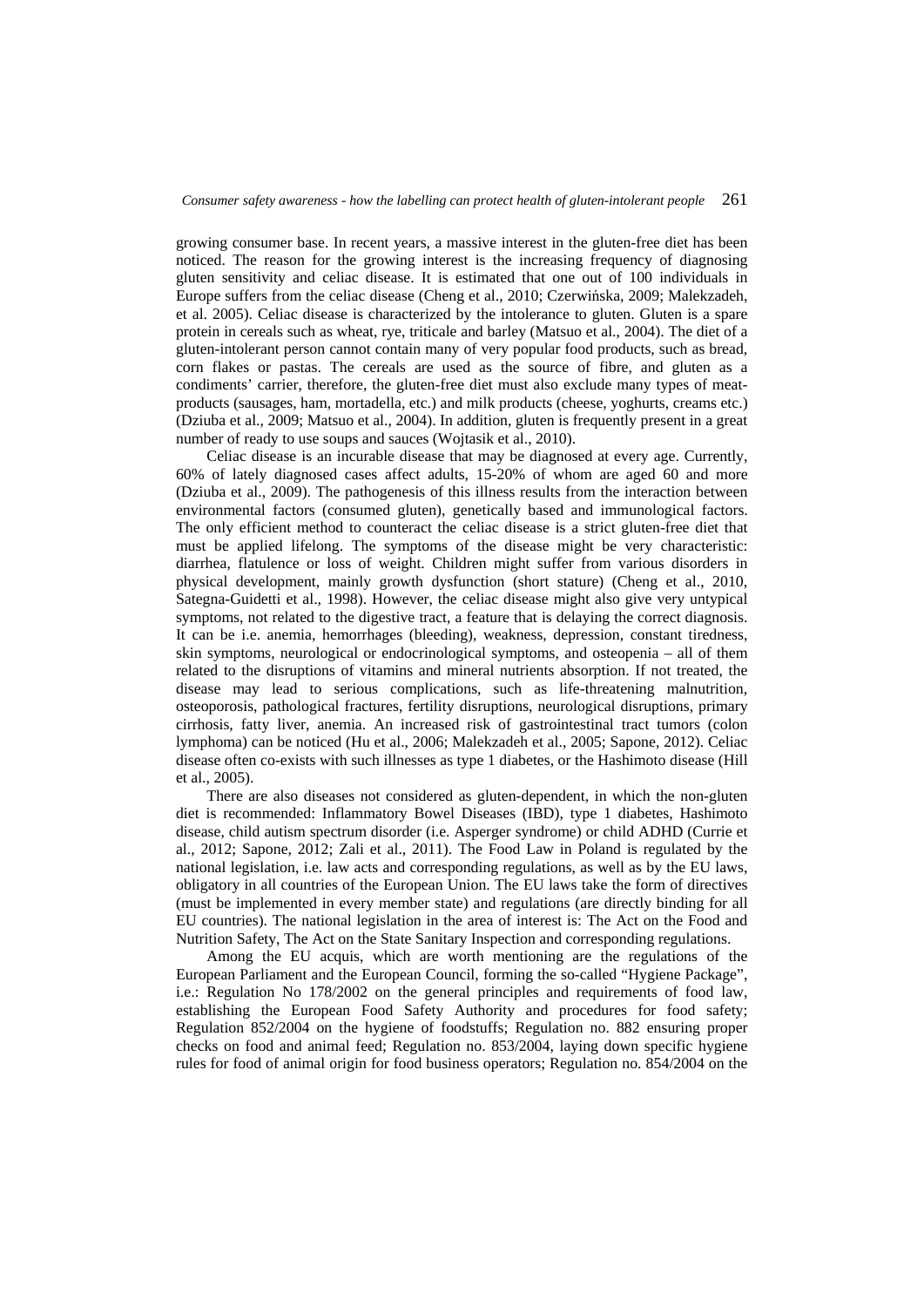growing consumer base. In recent years, a massive interest in the gluten-free diet has been noticed. The reason for the growing interest is the increasing frequency of diagnosing gluten sensitivity and celiac disease. It is estimated that one out of 100 individuals in Europe suffers from the celiac disease (Cheng et al., 2010; Czerwińska, 2009; Malekzadeh, et al. 2005). Celiac disease is characterized by the intolerance to gluten. Gluten is a spare protein in cereals such as wheat, rye, triticale and barley (Matsuo et al., 2004). The diet of a gluten-intolerant person cannot contain many of very popular food products, such as bread, corn flakes or pastas. The cereals are used as the source of fibre, and gluten as a condiments' carrier, therefore, the gluten-free diet must also exclude many types of meatproducts (sausages, ham, mortadella, etc.) and milk products (cheese, yoghurts, creams etc.) (Dziuba et al., 2009; Matsuo et al., 2004). In addition, gluten is frequently present in a great number of ready to use soups and sauces (Wojtasik et al., 2010).

Celiac disease is an incurable disease that may be diagnosed at every age. Currently, 60% of lately diagnosed cases affect adults, 15-20% of whom are aged 60 and more (Dziuba et al., 2009). The pathogenesis of this illness results from the interaction between environmental factors (consumed gluten), genetically based and immunological factors. The only efficient method to counteract the celiac disease is a strict gluten-free diet that must be applied lifelong. The symptoms of the disease might be very characteristic: diarrhea, flatulence or loss of weight. Children might suffer from various disorders in physical development, mainly growth dysfunction (short stature) (Cheng et al., 2010, Sategna-Guidetti et al., 1998). However, the celiac disease might also give very untypical symptoms, not related to the digestive tract, a feature that is delaying the correct diagnosis. It can be i.e. anemia, hemorrhages (bleeding), weakness, depression, constant tiredness, skin symptoms, neurological or endocrinological symptoms, and osteopenia – all of them related to the disruptions of vitamins and mineral nutrients absorption. If not treated, the disease may lead to serious complications, such as life-threatening malnutrition, osteoporosis, pathological fractures, fertility disruptions, neurological disruptions, primary cirrhosis, fatty liver, anemia. An increased risk of gastrointestinal tract tumors (colon lymphoma) can be noticed (Hu et al., 2006; Malekzadeh et al., 2005; Sapone, 2012). Celiac disease often co-exists with such illnesses as type 1 diabetes, or the Hashimoto disease (Hill et al., 2005).

There are also diseases not considered as gluten-dependent, in which the non-gluten diet is recommended: Inflammatory Bowel Diseases (IBD), type 1 diabetes, Hashimoto disease, child autism spectrum disorder (i.e. Asperger syndrome) or child ADHD (Currie et al., 2012; Sapone, 2012; Zali et al., 2011). The Food Law in Poland is regulated by the national legislation, i.e. law acts and corresponding regulations, as well as by the EU laws, obligatory in all countries of the European Union. The EU laws take the form of directives (must be implemented in every member state) and regulations (are directly binding for all EU countries). The national legislation in the area of interest is: The Act on the Food and Nutrition Safety, The Act on the State Sanitary Inspection and corresponding regulations.

Among the EU acquis, which are worth mentioning are the regulations of the European Parliament and the European Council, forming the so-called "Hygiene Package", i.e.: Regulation No 178/2002 on the general principles and requirements of food law, establishing the European Food Safety Authority and procedures for food safety; Regulation 852/2004 on the hygiene of foodstuffs; Regulation no. 882 ensuring proper checks on food and animal feed; Regulation no. 853/2004, laying down specific hygiene rules for food of animal origin for food business operators; Regulation no. 854/2004 on the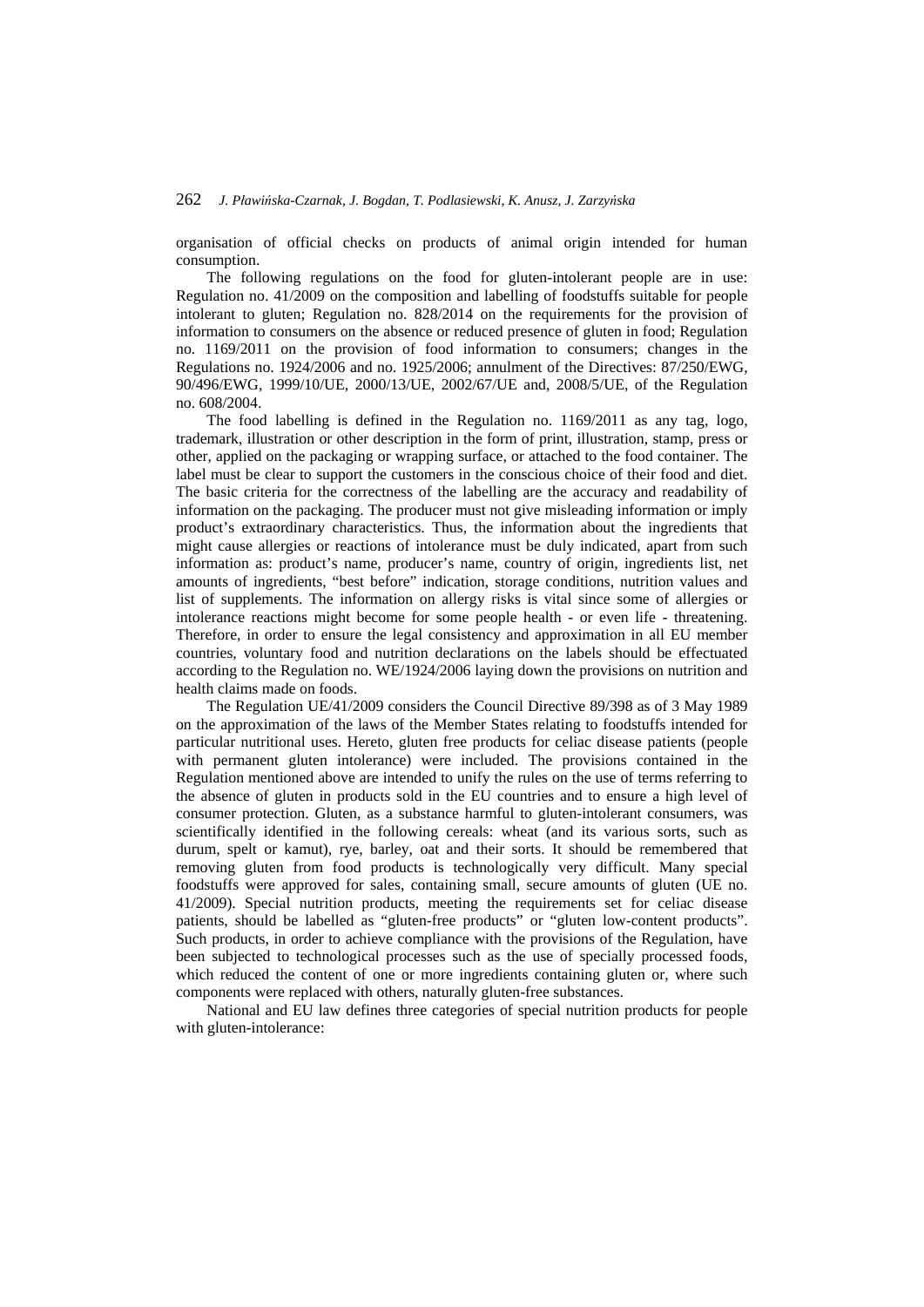organisation of official checks on products of animal origin intended for human consumption.

The following regulations on the food for gluten-intolerant people are in use: Regulation no. 41/2009 on the composition and labelling of foodstuffs suitable for people intolerant to gluten; Regulation no. 828/2014 on the requirements for the provision of information to consumers on the absence or reduced presence of gluten in food; Regulation no. 1169/2011 on the provision of food information to consumers; changes in the Regulations no. 1924/2006 and no. 1925/2006; annulment of the Directives: 87/250/EWG, 90/496/EWG, 1999/10/UE, 2000/13/UE, 2002/67/UE and, 2008/5/UE, of the Regulation no. 608/2004.

The food labelling is defined in the Regulation no. 1169/2011 as any tag, logo, trademark, illustration or other description in the form of print, illustration, stamp, press or other, applied on the packaging or wrapping surface, or attached to the food container. The label must be clear to support the customers in the conscious choice of their food and diet. The basic criteria for the correctness of the labelling are the accuracy and readability of information on the packaging. The producer must not give misleading information or imply product's extraordinary characteristics. Thus, the information about the ingredients that might cause allergies or reactions of intolerance must be duly indicated, apart from such information as: product's name, producer's name, country of origin, ingredients list, net amounts of ingredients, "best before" indication, storage conditions, nutrition values and list of supplements. The information on allergy risks is vital since some of allergies or intolerance reactions might become for some people health - or even life - threatening. Therefore, in order to ensure the legal consistency and approximation in all EU member countries, voluntary food and nutrition declarations on the labels should be effectuated according to the Regulation no. WE/1924/2006 laying down the provisions on nutrition and health claims made on foods.

The Regulation UE/41/2009 considers the Council Directive 89/398 as of 3 May 1989 on the approximation of the laws of the Member States relating to foodstuffs intended for particular nutritional uses. Hereto, gluten free products for celiac disease patients (people with permanent gluten intolerance) were included. The provisions contained in the Regulation mentioned above are intended to unify the rules on the use of terms referring to the absence of gluten in products sold in the EU countries and to ensure a high level of consumer protection. Gluten, as a substance harmful to gluten-intolerant consumers, was scientifically identified in the following cereals: wheat (and its various sorts, such as durum, spelt or kamut), rye, barley, oat and their sorts. It should be remembered that removing gluten from food products is technologically very difficult. Many special foodstuffs were approved for sales, containing small, secure amounts of gluten (UE no. 41/2009). Special nutrition products, meeting the requirements set for celiac disease patients, should be labelled as "gluten-free products" or "gluten low-content products". Such products, in order to achieve compliance with the provisions of the Regulation, have been subjected to technological processes such as the use of specially processed foods, which reduced the content of one or more ingredients containing gluten or, where such components were replaced with others, naturally gluten-free substances.

National and EU law defines three categories of special nutrition products for people with gluten-intolerance: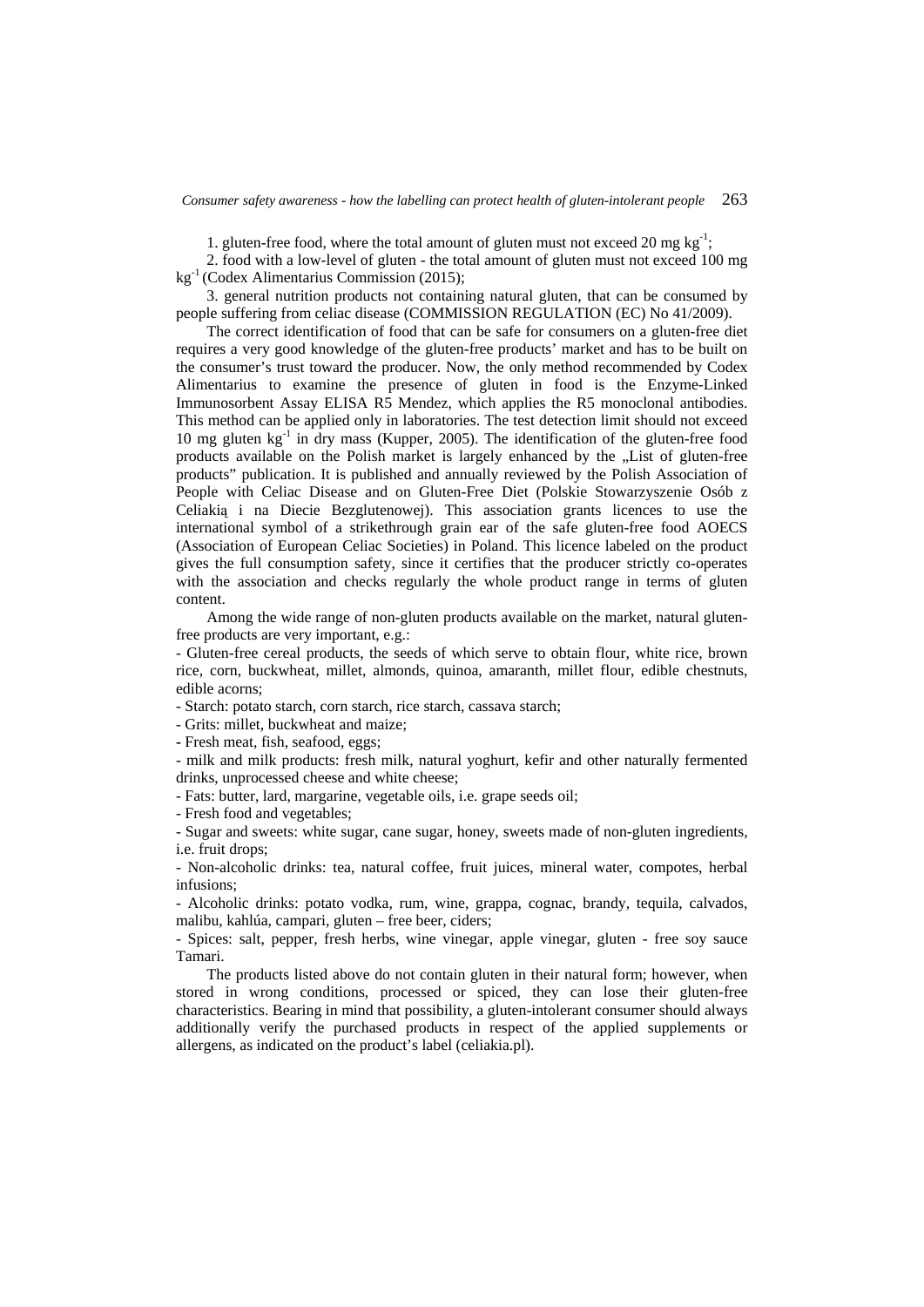1. gluten-free food, where the total amount of gluten must not exceed 20 mg  $kg^{-1}$ ;

2. food with a low-level of gluten - the total amount of gluten must not exceed 100 mg kg<sup>-1</sup> (Codex Alimentarius Commission (2015);

3. general nutrition products not containing natural gluten, that can be consumed by people suffering from celiac disease (COMMISSION REGULATION (EC) No 41/2009).

The correct identification of food that can be safe for consumers on a gluten-free diet requires a very good knowledge of the gluten-free products' market and has to be built on the consumer's trust toward the producer. Now, the only method recommended by Codex Alimentarius to examine the presence of gluten in food is the Enzyme-Linked Immunosorbent Assay ELISA R5 Mendez, which applies the R5 monoclonal antibodies. This method can be applied only in laboratories. The test detection limit should not exceed 10 mg gluten  $kg^{-1}$  in dry mass (Kupper, 2005). The identification of the gluten-free food products available on the Polish market is largely enhanced by the "List of gluten-free products" publication. It is published and annually reviewed by the Polish Association of People with Celiac Disease and on Gluten-Free Diet (Polskie Stowarzyszenie Osób z Celiakią i na Diecie Bezglutenowej). This association grants licences to use the international symbol of a strikethrough grain ear of the safe gluten-free food AOECS (Association of European Celiac Societies) in Poland. This licence labeled on the product gives the full consumption safety, since it certifies that the producer strictly co-operates with the association and checks regularly the whole product range in terms of gluten content.

Among the wide range of non-gluten products available on the market, natural glutenfree products are very important, e.g.:

- Gluten-free cereal products, the seeds of which serve to obtain flour, white rice, brown rice, corn, buckwheat, millet, almonds, quinoa, amaranth, millet flour, edible chestnuts, edible acorns;

- Starch: potato starch, corn starch, rice starch, cassava starch;

- Grits: millet, buckwheat and maize;

**-** Fresh meat, fish, seafood, eggs;

- milk and milk products: fresh milk, natural yoghurt, kefir and other naturally fermented drinks, unprocessed cheese and white cheese;

- Fats: butter, lard, margarine, vegetable oils, i.e. grape seeds oil;

- Fresh food and vegetables;

- Sugar and sweets: white sugar, cane sugar, honey, sweets made of non-gluten ingredients, i.e. fruit drops;

- Non-alcoholic drinks: tea, natural coffee, fruit juices, mineral water, compotes, herbal infusions;

- Alcoholic drinks: potato vodka, rum, wine, grappa, cognac, brandy, tequila, calvados, malibu, kahlúa, campari, gluten – free beer, ciders;

- Spices: salt, pepper, fresh herbs, wine vinegar, apple vinegar, gluten - free soy sauce Tamari.

The products listed above do not contain gluten in their natural form; however, when stored in wrong conditions, processed or spiced, they can lose their gluten-free characteristics. Bearing in mind that possibility, a gluten-intolerant consumer should always additionally verify the purchased products in respect of the applied supplements or allergens, as indicated on the product's label (celiakia.pl).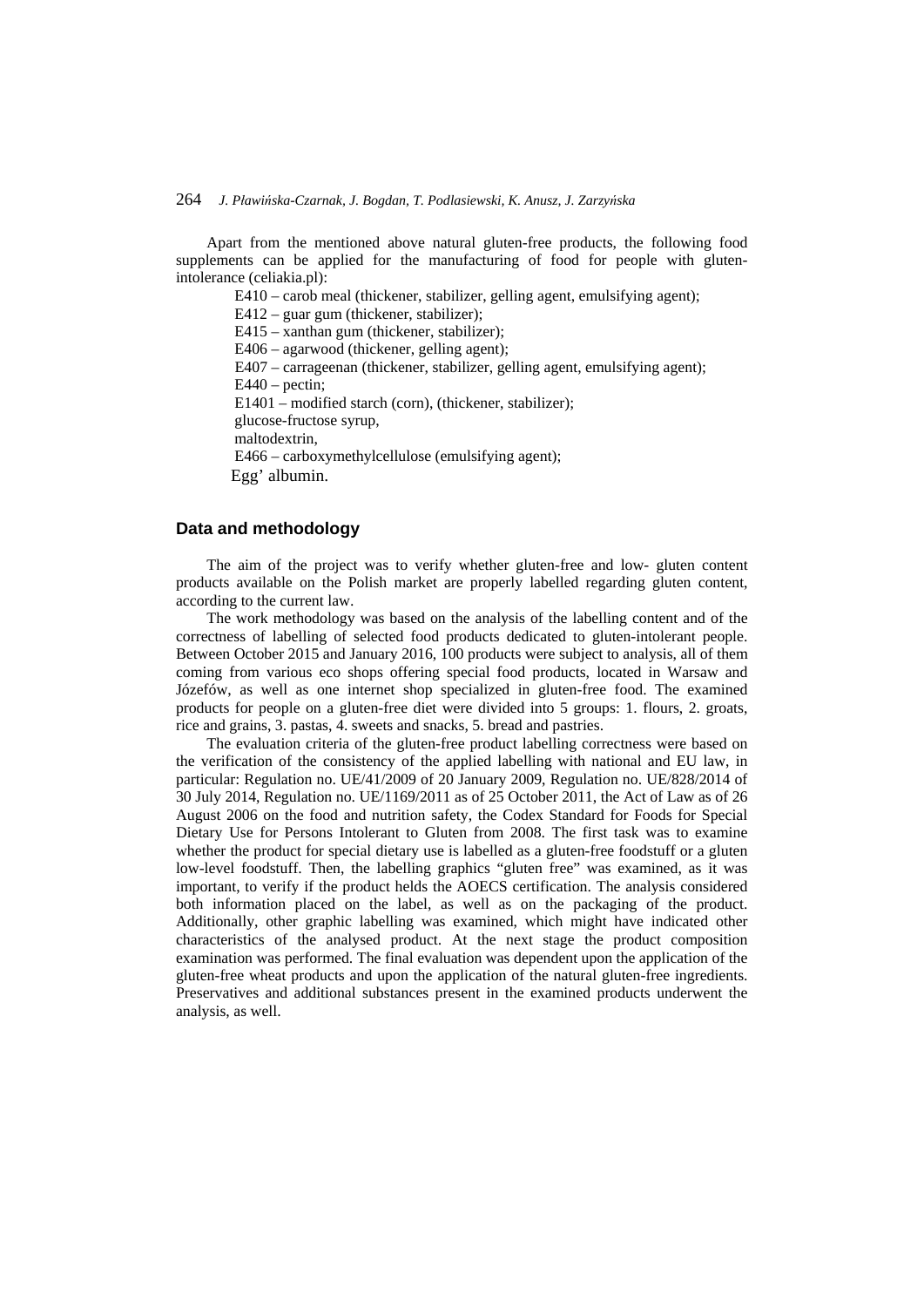Apart from the mentioned above natural gluten-free products, the following food supplements can be applied for the manufacturing of food for people with glutenintolerance (celiakia.pl):

E410 – carob meal (thickener, stabilizer, gelling agent, emulsifying agent);

E412 – guar gum (thickener, stabilizer);

E415 – xanthan gum (thickener, stabilizer); E406 – agarwood (thickener, gelling agent); E407 – carrageenan (thickener, stabilizer, gelling agent, emulsifying agent);  $E440 - pectin;$ E1401 – modified starch (corn), (thickener, stabilizer); glucose-fructose syrup, maltodextrin, E466 – carboxymethylcellulose (emulsifying agent);

Egg' albumin.

## **Data and methodology**

The aim of the project was to verify whether gluten-free and low- gluten content products available on the Polish market are properly labelled regarding gluten content, according to the current law.

The work methodology was based on the analysis of the labelling content and of the correctness of labelling of selected food products dedicated to gluten-intolerant people. Between October 2015 and January 2016, 100 products were subject to analysis, all of them coming from various eco shops offering special food products, located in Warsaw and Józefów, as well as one internet shop specialized in gluten-free food. The examined products for people on a gluten-free diet were divided into 5 groups: 1. flours, 2. groats, rice and grains, 3. pastas, 4. sweets and snacks, 5. bread and pastries.

The evaluation criteria of the gluten-free product labelling correctness were based on the verification of the consistency of the applied labelling with national and EU law, in particular: Regulation no. UE/41/2009 of 20 January 2009, Regulation no. UE/828/2014 of 30 July 2014, Regulation no. UE/1169/2011 as of 25 October 2011, the Act of Law as of 26 August 2006 on the food and nutrition safety, the Codex Standard for Foods for Special Dietary Use for Persons Intolerant to Gluten from 2008. The first task was to examine whether the product for special dietary use is labelled as a gluten-free foodstuff or a gluten low-level foodstuff. Then, the labelling graphics "gluten free" was examined, as it was important, to verify if the product helds the AOECS certification. The analysis considered both information placed on the label, as well as on the packaging of the product. Additionally, other graphic labelling was examined, which might have indicated other characteristics of the analysed product. At the next stage the product composition examination was performed. The final evaluation was dependent upon the application of the gluten-free wheat products and upon the application of the natural gluten-free ingredients. Preservatives and additional substances present in the examined products underwent the analysis, as well.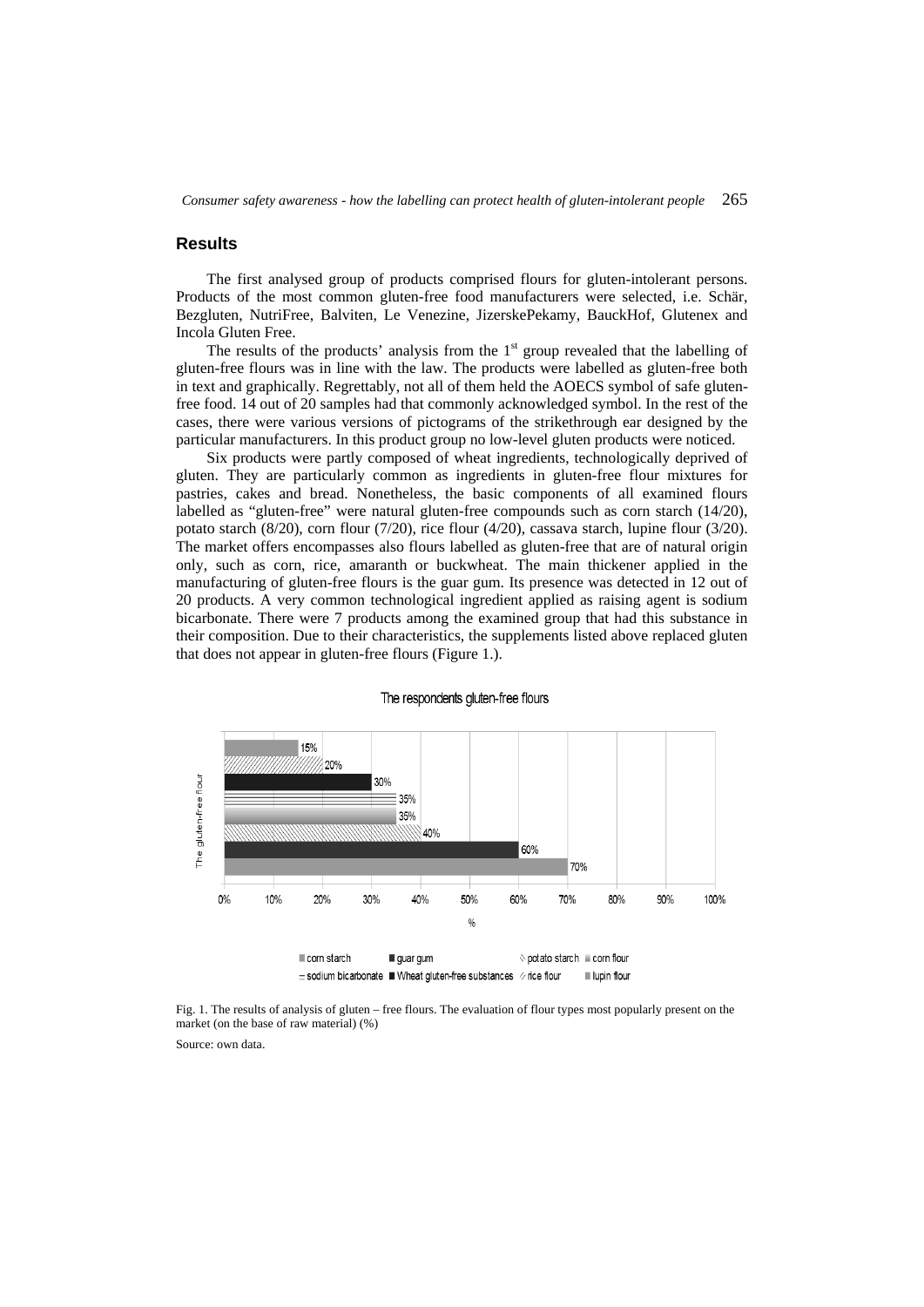*Consumer safety awareness - how the labelling can protect health of gluten-intolerant people* 265

#### **Results**

The first analysed group of products comprised flours for gluten-intolerant persons. Products of the most common gluten-free food manufacturers were selected, i.e. Schär, Bezgluten, NutriFree, Balviten, Le Venezine, JizerskePekamy, BauckHof, Glutenex and Incola Gluten Free.

The results of the products' analysis from the  $1<sup>st</sup>$  group revealed that the labelling of gluten-free flours was in line with the law. The products were labelled as gluten-free both in text and graphically. Regrettably, not all of them held the AOECS symbol of safe glutenfree food. 14 out of 20 samples had that commonly acknowledged symbol. In the rest of the cases, there were various versions of pictograms of the strikethrough ear designed by the particular manufacturers. In this product group no low-level gluten products were noticed.

Six products were partly composed of wheat ingredients, technologically deprived of gluten. They are particularly common as ingredients in gluten-free flour mixtures for pastries, cakes and bread. Nonetheless, the basic components of all examined flours labelled as "gluten-free" were natural gluten-free compounds such as corn starch (14/20), potato starch (8/20), corn flour (7/20), rice flour (4/20), cassava starch, lupine flour (3/20). The market offers encompasses also flours labelled as gluten-free that are of natural origin only, such as corn, rice, amaranth or buckwheat. The main thickener applied in the manufacturing of gluten-free flours is the guar gum. Its presence was detected in 12 out of 20 products. A very common technological ingredient applied as raising agent is sodium bicarbonate. There were 7 products among the examined group that had this substance in their composition. Due to their characteristics, the supplements listed above replaced gluten that does not appear in gluten-free flours (Figure 1.).



#### The respondents gluten-free flours

Fig. 1. The results of analysis of gluten – free flours. The evaluation of flour types most popularly present on the market (on the base of raw material) (%)

Source: own data.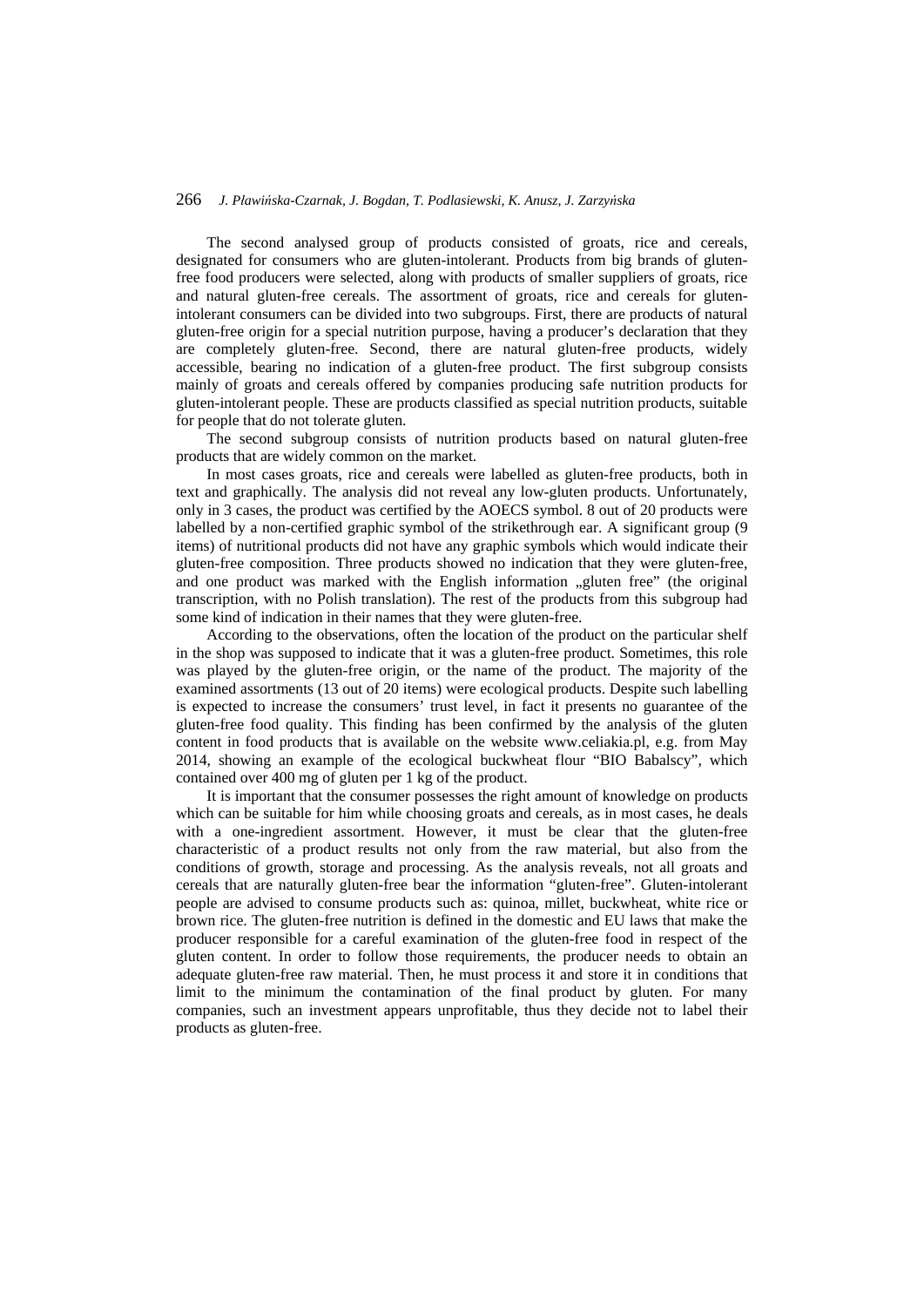The second analysed group of products consisted of groats, rice and cereals, designated for consumers who are gluten-intolerant. Products from big brands of glutenfree food producers were selected, along with products of smaller suppliers of groats, rice and natural gluten-free cereals. The assortment of groats, rice and cereals for glutenintolerant consumers can be divided into two subgroups. First, there are products of natural gluten-free origin for a special nutrition purpose, having a producer's declaration that they are completely gluten-free. Second, there are natural gluten-free products, widely accessible, bearing no indication of a gluten-free product. The first subgroup consists mainly of groats and cereals offered by companies producing safe nutrition products for gluten-intolerant people. These are products classified as special nutrition products, suitable for people that do not tolerate gluten.

The second subgroup consists of nutrition products based on natural gluten-free products that are widely common on the market.

In most cases groats, rice and cereals were labelled as gluten-free products, both in text and graphically. The analysis did not reveal any low-gluten products. Unfortunately, only in 3 cases, the product was certified by the AOECS symbol. 8 out of 20 products were labelled by a non-certified graphic symbol of the strikethrough ear. A significant group (9 items) of nutritional products did not have any graphic symbols which would indicate their gluten-free composition. Three products showed no indication that they were gluten-free, and one product was marked with the English information "gluten free" (the original transcription, with no Polish translation). The rest of the products from this subgroup had some kind of indication in their names that they were gluten-free.

According to the observations, often the location of the product on the particular shelf in the shop was supposed to indicate that it was a gluten-free product. Sometimes, this role was played by the gluten-free origin, or the name of the product. The majority of the examined assortments (13 out of 20 items) were ecological products. Despite such labelling is expected to increase the consumers' trust level, in fact it presents no guarantee of the gluten-free food quality. This finding has been confirmed by the analysis of the gluten content in food products that is available on the website www.celiakia.pl, e.g. from May 2014, showing an example of the ecological buckwheat flour "BIO Babalscy", which contained over 400 mg of gluten per 1 kg of the product.

It is important that the consumer possesses the right amount of knowledge on products which can be suitable for him while choosing groats and cereals, as in most cases, he deals with a one-ingredient assortment. However, it must be clear that the gluten-free characteristic of a product results not only from the raw material, but also from the conditions of growth, storage and processing. As the analysis reveals, not all groats and cereals that are naturally gluten-free bear the information "gluten-free". Gluten-intolerant people are advised to consume products such as: quinoa, millet, buckwheat, white rice or brown rice. The gluten-free nutrition is defined in the domestic and EU laws that make the producer responsible for a careful examination of the gluten-free food in respect of the gluten content. In order to follow those requirements, the producer needs to obtain an adequate gluten-free raw material. Then, he must process it and store it in conditions that limit to the minimum the contamination of the final product by gluten. For many companies, such an investment appears unprofitable, thus they decide not to label their products as gluten-free.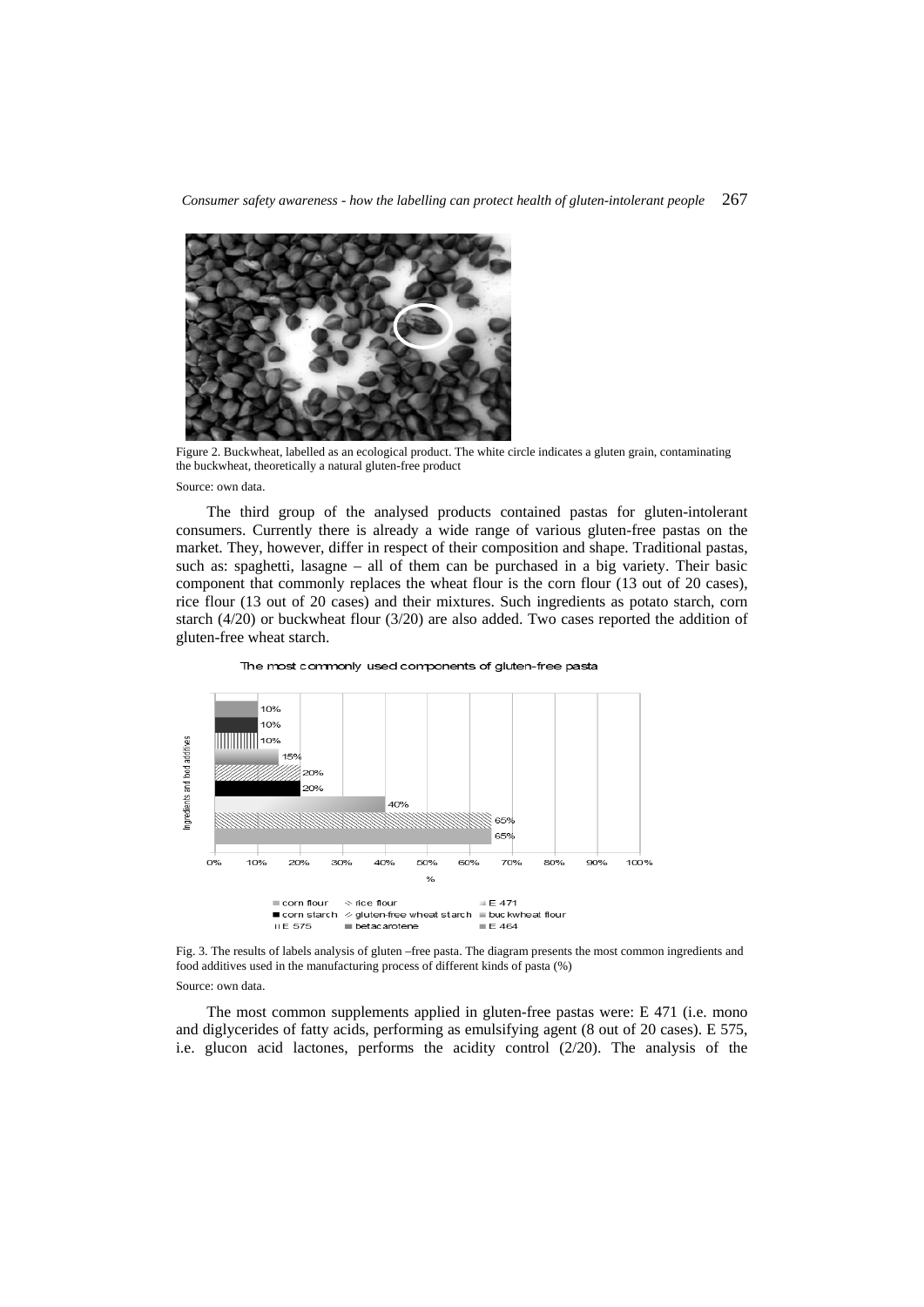*Consumer safety awareness - how the labelling can protect health of gluten-intolerant people* 267



Figure 2. Buckwheat, labelled as an ecological product. The white circle indicates a gluten grain, contaminating the buckwheat, theoretically a natural gluten-free product

Source: own data.

The third group of the analysed products contained pastas for gluten-intolerant consumers. Currently there is already a wide range of various gluten-free pastas on the market. They, however, differ in respect of their composition and shape. Traditional pastas, such as: spaghetti, lasagne – all of them can be purchased in a big variety. Their basic component that commonly replaces the wheat flour is the corn flour (13 out of 20 cases), rice flour (13 out of 20 cases) and their mixtures. Such ingredients as potato starch, corn starch (4/20) or buckwheat flour (3/20) are also added. Two cases reported the addition of gluten-free wheat starch.



The most commonly used components of gluten-free pasta

Fig. 3. The results of labels analysis of gluten –free pasta. The diagram presents the most common ingredients and food additives used in the manufacturing process of different kinds of pasta (%)

Source: own data.

The most common supplements applied in gluten-free pastas were: E 471 (i.e. mono and diglycerides of fatty acids, performing as emulsifying agent (8 out of 20 cases). E 575, i.e. glucon acid lactones, performs the acidity control (2/20). The analysis of the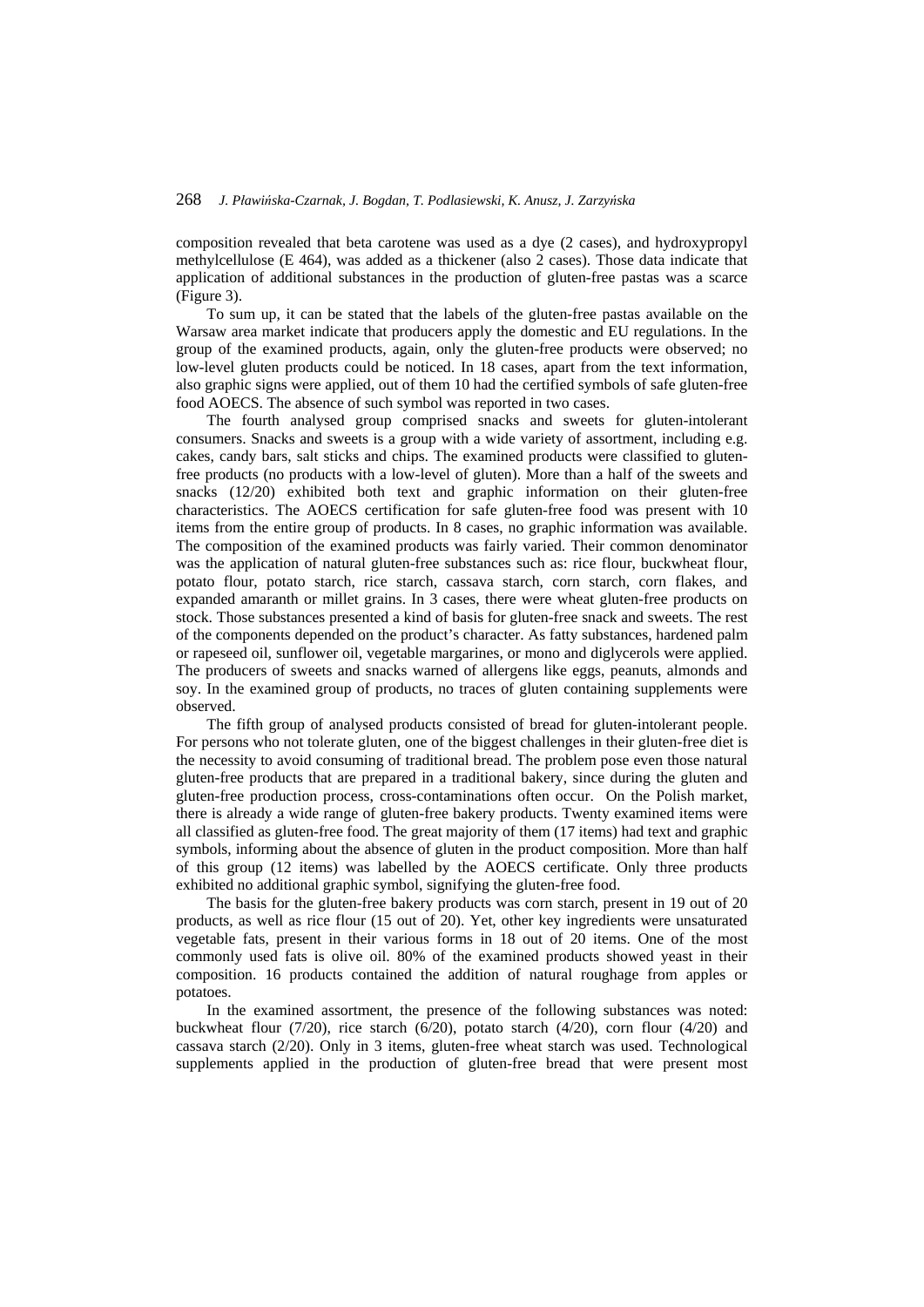composition revealed that beta carotene was used as a dye (2 cases), and hydroxypropyl methylcellulose (E 464), was added as a thickener (also 2 cases). Those data indicate that application of additional substances in the production of gluten-free pastas was a scarce (Figure 3).

To sum up, it can be stated that the labels of the gluten-free pastas available on the Warsaw area market indicate that producers apply the domestic and EU regulations. In the group of the examined products, again, only the gluten-free products were observed; no low-level gluten products could be noticed. In 18 cases, apart from the text information, also graphic signs were applied, out of them 10 had the certified symbols of safe gluten-free food AOECS. The absence of such symbol was reported in two cases.

The fourth analysed group comprised snacks and sweets for gluten-intolerant consumers. Snacks and sweets is a group with a wide variety of assortment, including e.g. cakes, candy bars, salt sticks and chips. The examined products were classified to glutenfree products (no products with a low-level of gluten). More than a half of the sweets and snacks (12/20) exhibited both text and graphic information on their gluten-free characteristics. The AOECS certification for safe gluten-free food was present with 10 items from the entire group of products. In 8 cases, no graphic information was available. The composition of the examined products was fairly varied. Their common denominator was the application of natural gluten-free substances such as: rice flour, buckwheat flour, potato flour, potato starch, rice starch, cassava starch, corn starch, corn flakes, and expanded amaranth or millet grains. In 3 cases, there were wheat gluten-free products on stock. Those substances presented a kind of basis for gluten-free snack and sweets. The rest of the components depended on the product's character. As fatty substances, hardened palm or rapeseed oil, sunflower oil, vegetable margarines, or mono and diglycerols were applied. The producers of sweets and snacks warned of allergens like eggs, peanuts, almonds and soy. In the examined group of products, no traces of gluten containing supplements were observed.

The fifth group of analysed products consisted of bread for gluten-intolerant people. For persons who not tolerate gluten, one of the biggest challenges in their gluten-free diet is the necessity to avoid consuming of traditional bread. The problem pose even those natural gluten-free products that are prepared in a traditional bakery, since during the gluten and gluten-free production process, cross-contaminations often occur. On the Polish market, there is already a wide range of gluten-free bakery products. Twenty examined items were all classified as gluten-free food. The great majority of them (17 items) had text and graphic symbols, informing about the absence of gluten in the product composition. More than half of this group (12 items) was labelled by the AOECS certificate. Only three products exhibited no additional graphic symbol, signifying the gluten-free food.

The basis for the gluten-free bakery products was corn starch, present in 19 out of 20 products, as well as rice flour (15 out of 20). Yet, other key ingredients were unsaturated vegetable fats, present in their various forms in 18 out of 20 items. One of the most commonly used fats is olive oil. 80% of the examined products showed yeast in their composition. 16 products contained the addition of natural roughage from apples or potatoes.

In the examined assortment, the presence of the following substances was noted: buckwheat flour  $(7/20)$ , rice starch  $(6/20)$ , potato starch  $(4/20)$ , corn flour  $(4/20)$  and cassava starch (2/20). Only in 3 items, gluten-free wheat starch was used. Technological supplements applied in the production of gluten-free bread that were present most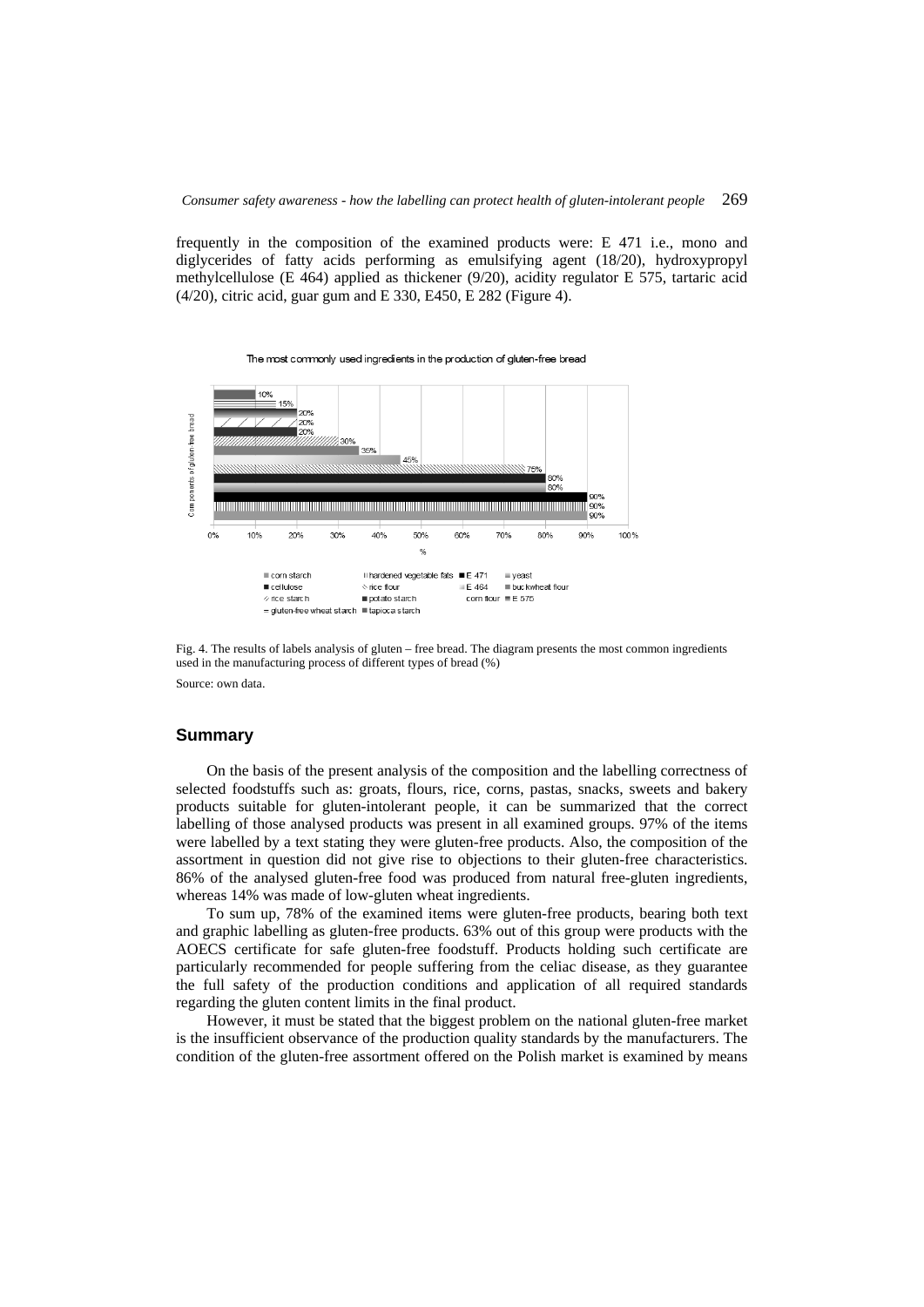frequently in the composition of the examined products were: E 471 i.e., mono and diglycerides of fatty acids performing as emulsifying agent (18/20), hydroxypropyl methylcellulose (E 464) applied as thickener (9/20), acidity regulator E 575, tartaric acid (4/20), citric acid, guar gum and E 330, E450, E 282 (Figure 4).



Fig. 4. The results of labels analysis of gluten – free bread. The diagram presents the most common ingredients used in the manufacturing process of different types of bread (%) Source: own data.

#### **Summary**

On the basis of the present analysis of the composition and the labelling correctness of selected foodstuffs such as: groats, flours, rice, corns, pastas, snacks, sweets and bakery products suitable for gluten-intolerant people, it can be summarized that the correct labelling of those analysed products was present in all examined groups. 97% of the items were labelled by a text stating they were gluten-free products. Also, the composition of the assortment in question did not give rise to objections to their gluten-free characteristics. 86% of the analysed gluten-free food was produced from natural free-gluten ingredients, whereas 14% was made of low-gluten wheat ingredients.

To sum up, 78% of the examined items were gluten-free products, bearing both text and graphic labelling as gluten-free products. 63% out of this group were products with the AOECS certificate for safe gluten-free foodstuff. Products holding such certificate are particularly recommended for people suffering from the celiac disease, as they guarantee the full safety of the production conditions and application of all required standards regarding the gluten content limits in the final product.

However, it must be stated that the biggest problem on the national gluten-free market is the insufficient observance of the production quality standards by the manufacturers. The condition of the gluten-free assortment offered on the Polish market is examined by means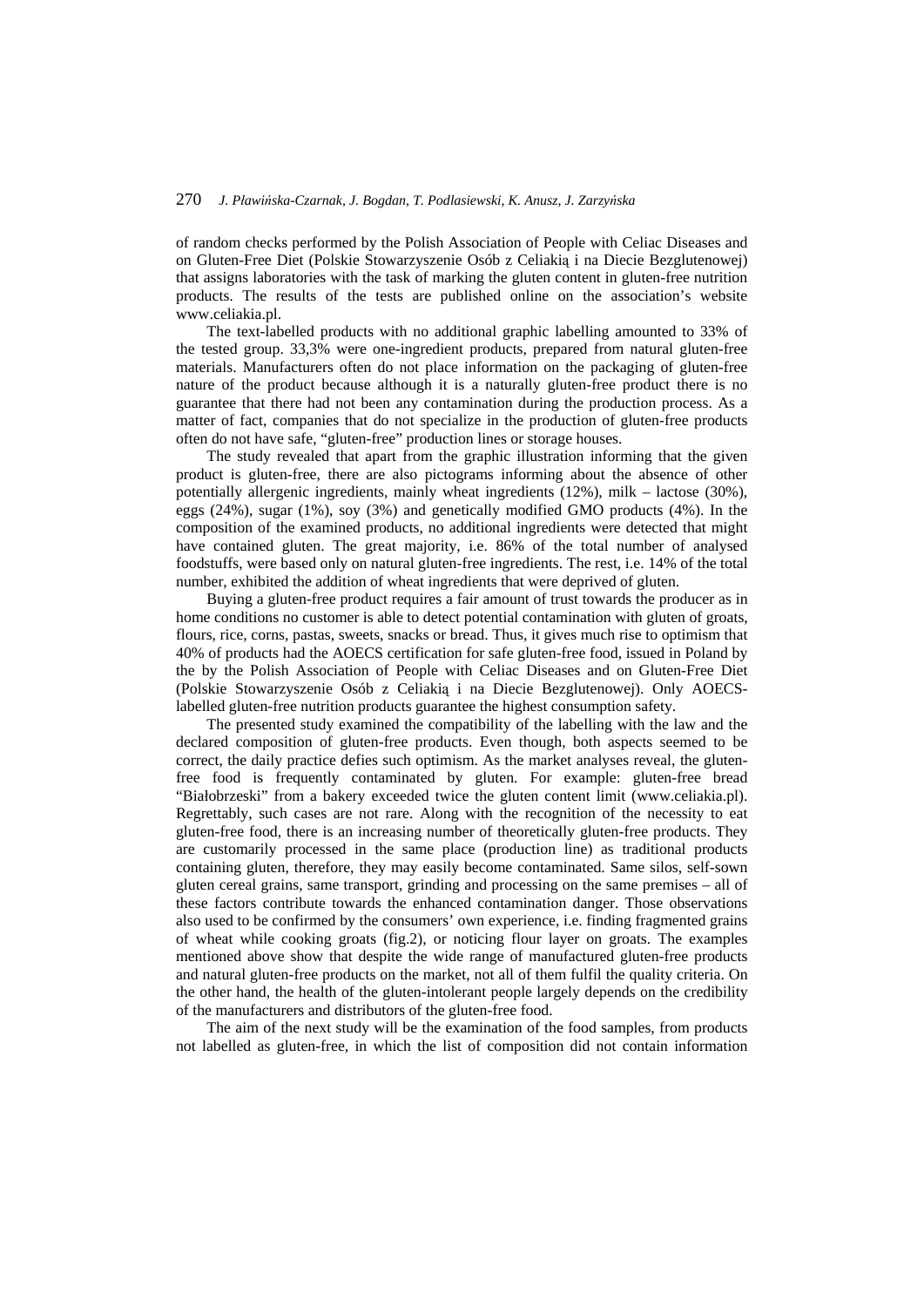of random checks performed by the Polish Association of People with Celiac Diseases and on Gluten-Free Diet (Polskie Stowarzyszenie Osób z Celiakią i na Diecie Bezglutenowej) that assigns laboratories with the task of marking the gluten content in gluten-free nutrition products. The results of the tests are published online on the association's website www.celiakia.pl.

The text-labelled products with no additional graphic labelling amounted to 33% of the tested group. 33,3% were one-ingredient products, prepared from natural gluten-free materials. Manufacturers often do not place information on the packaging of gluten-free nature of the product because although it is a naturally gluten-free product there is no guarantee that there had not been any contamination during the production process. As a matter of fact, companies that do not specialize in the production of gluten-free products often do not have safe, "gluten-free" production lines or storage houses.

The study revealed that apart from the graphic illustration informing that the given product is gluten-free, there are also pictograms informing about the absence of other potentially allergenic ingredients, mainly wheat ingredients (12%), milk – lactose (30%), eggs (24%), sugar (1%), soy (3%) and genetically modified GMO products (4%). In the composition of the examined products, no additional ingredients were detected that might have contained gluten. The great majority, i.e. 86% of the total number of analysed foodstuffs, were based only on natural gluten-free ingredients. The rest, i.e. 14% of the total number, exhibited the addition of wheat ingredients that were deprived of gluten.

Buying a gluten-free product requires a fair amount of trust towards the producer as in home conditions no customer is able to detect potential contamination with gluten of groats, flours, rice, corns, pastas, sweets, snacks or bread. Thus, it gives much rise to optimism that 40% of products had the AOECS certification for safe gluten-free food, issued in Poland by the by the Polish Association of People with Celiac Diseases and on Gluten-Free Diet (Polskie Stowarzyszenie Osób z Celiakią i na Diecie Bezglutenowej). Only AOECSlabelled gluten-free nutrition products guarantee the highest consumption safety.

The presented study examined the compatibility of the labelling with the law and the declared composition of gluten-free products. Even though, both aspects seemed to be correct, the daily practice defies such optimism. As the market analyses reveal, the glutenfree food is frequently contaminated by gluten. For example: gluten-free bread "Białobrzeski" from a bakery exceeded twice the gluten content limit (www.celiakia.pl). Regrettably, such cases are not rare. Along with the recognition of the necessity to eat gluten-free food, there is an increasing number of theoretically gluten-free products. They are customarily processed in the same place (production line) as traditional products containing gluten, therefore, they may easily become contaminated. Same silos, self-sown gluten cereal grains, same transport, grinding and processing on the same premises – all of these factors contribute towards the enhanced contamination danger. Those observations also used to be confirmed by the consumers' own experience, i.e. finding fragmented grains of wheat while cooking groats (fig.2), or noticing flour layer on groats. The examples mentioned above show that despite the wide range of manufactured gluten-free products and natural gluten-free products on the market, not all of them fulfil the quality criteria. On the other hand, the health of the gluten-intolerant people largely depends on the credibility of the manufacturers and distributors of the gluten-free food.

The aim of the next study will be the examination of the food samples, from products not labelled as gluten-free, in which the list of composition did not contain information